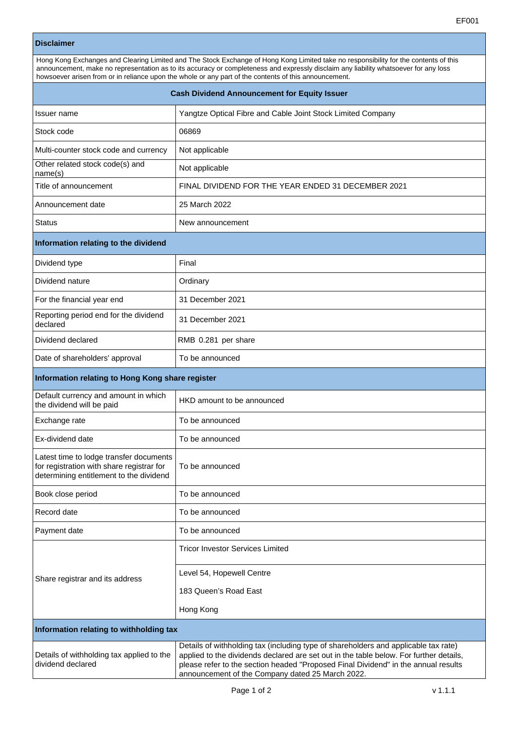٦

Г

| <b>Disclaimer</b>                                                                                                                                                                                                                                                                                                                                                                     |                                                                                     |  |  |  |
|---------------------------------------------------------------------------------------------------------------------------------------------------------------------------------------------------------------------------------------------------------------------------------------------------------------------------------------------------------------------------------------|-------------------------------------------------------------------------------------|--|--|--|
| Hong Kong Exchanges and Clearing Limited and The Stock Exchange of Hong Kong Limited take no responsibility for the contents of this<br>announcement, make no representation as to its accuracy or completeness and expressly disclaim any liability whatsoever for any loss<br>howsoever arisen from or in reliance upon the whole or any part of the contents of this announcement. |                                                                                     |  |  |  |
| <b>Cash Dividend Announcement for Equity Issuer</b>                                                                                                                                                                                                                                                                                                                                   |                                                                                     |  |  |  |
| Issuer name                                                                                                                                                                                                                                                                                                                                                                           | Yangtze Optical Fibre and Cable Joint Stock Limited Company                         |  |  |  |
| Stock code                                                                                                                                                                                                                                                                                                                                                                            | 06869                                                                               |  |  |  |
| Multi-counter stock code and currency                                                                                                                                                                                                                                                                                                                                                 | Not applicable                                                                      |  |  |  |
| Other related stock code(s) and<br>name(s)                                                                                                                                                                                                                                                                                                                                            | Not applicable                                                                      |  |  |  |
| Title of announcement                                                                                                                                                                                                                                                                                                                                                                 | FINAL DIVIDEND FOR THE YEAR ENDED 31 DECEMBER 2021                                  |  |  |  |
| Announcement date                                                                                                                                                                                                                                                                                                                                                                     | 25 March 2022                                                                       |  |  |  |
| <b>Status</b>                                                                                                                                                                                                                                                                                                                                                                         | New announcement                                                                    |  |  |  |
| Information relating to the dividend                                                                                                                                                                                                                                                                                                                                                  |                                                                                     |  |  |  |
| Dividend type                                                                                                                                                                                                                                                                                                                                                                         | Final                                                                               |  |  |  |
| Dividend nature                                                                                                                                                                                                                                                                                                                                                                       | Ordinary                                                                            |  |  |  |
| For the financial year end                                                                                                                                                                                                                                                                                                                                                            | 31 December 2021                                                                    |  |  |  |
| Reporting period end for the dividend<br>declared                                                                                                                                                                                                                                                                                                                                     | 31 December 2021                                                                    |  |  |  |
| Dividend declared                                                                                                                                                                                                                                                                                                                                                                     | RMB 0.281 per share                                                                 |  |  |  |
| Date of shareholders' approval                                                                                                                                                                                                                                                                                                                                                        | To be announced                                                                     |  |  |  |
| Information relating to Hong Kong share register                                                                                                                                                                                                                                                                                                                                      |                                                                                     |  |  |  |
| Default currency and amount in which<br>the dividend will be paid                                                                                                                                                                                                                                                                                                                     | HKD amount to be announced                                                          |  |  |  |
| Exchange rate                                                                                                                                                                                                                                                                                                                                                                         | To be announced                                                                     |  |  |  |
| Ex-dividend date                                                                                                                                                                                                                                                                                                                                                                      | To be announced                                                                     |  |  |  |
| Latest time to lodge transfer documents<br>for registration with share registrar for<br>determining entitlement to the dividend                                                                                                                                                                                                                                                       | To be announced                                                                     |  |  |  |
| Book close period                                                                                                                                                                                                                                                                                                                                                                     | To be announced                                                                     |  |  |  |
| Record date                                                                                                                                                                                                                                                                                                                                                                           | To be announced                                                                     |  |  |  |
| Payment date                                                                                                                                                                                                                                                                                                                                                                          | To be announced                                                                     |  |  |  |
| Share registrar and its address                                                                                                                                                                                                                                                                                                                                                       | <b>Tricor Investor Services Limited</b>                                             |  |  |  |
|                                                                                                                                                                                                                                                                                                                                                                                       | Level 54, Hopewell Centre                                                           |  |  |  |
|                                                                                                                                                                                                                                                                                                                                                                                       | 183 Queen's Road East                                                               |  |  |  |
|                                                                                                                                                                                                                                                                                                                                                                                       | Hong Kong                                                                           |  |  |  |
| Information relating to withholding tax                                                                                                                                                                                                                                                                                                                                               |                                                                                     |  |  |  |
|                                                                                                                                                                                                                                                                                                                                                                                       | Details of withholding tax (including type of shareholders and applicable tax rate) |  |  |  |

|                                           | Details of withholding tax (including type of shareholders and applicable tax rate)    |
|-------------------------------------------|----------------------------------------------------------------------------------------|
| Details of withholding tax applied to the | applied to the dividends declared are set out in the table below. For further details, |
| dividend declared                         | please refer to the section headed "Proposed Final Dividend" in the annual results     |
|                                           | announcement of the Company dated 25 March 2022.                                       |